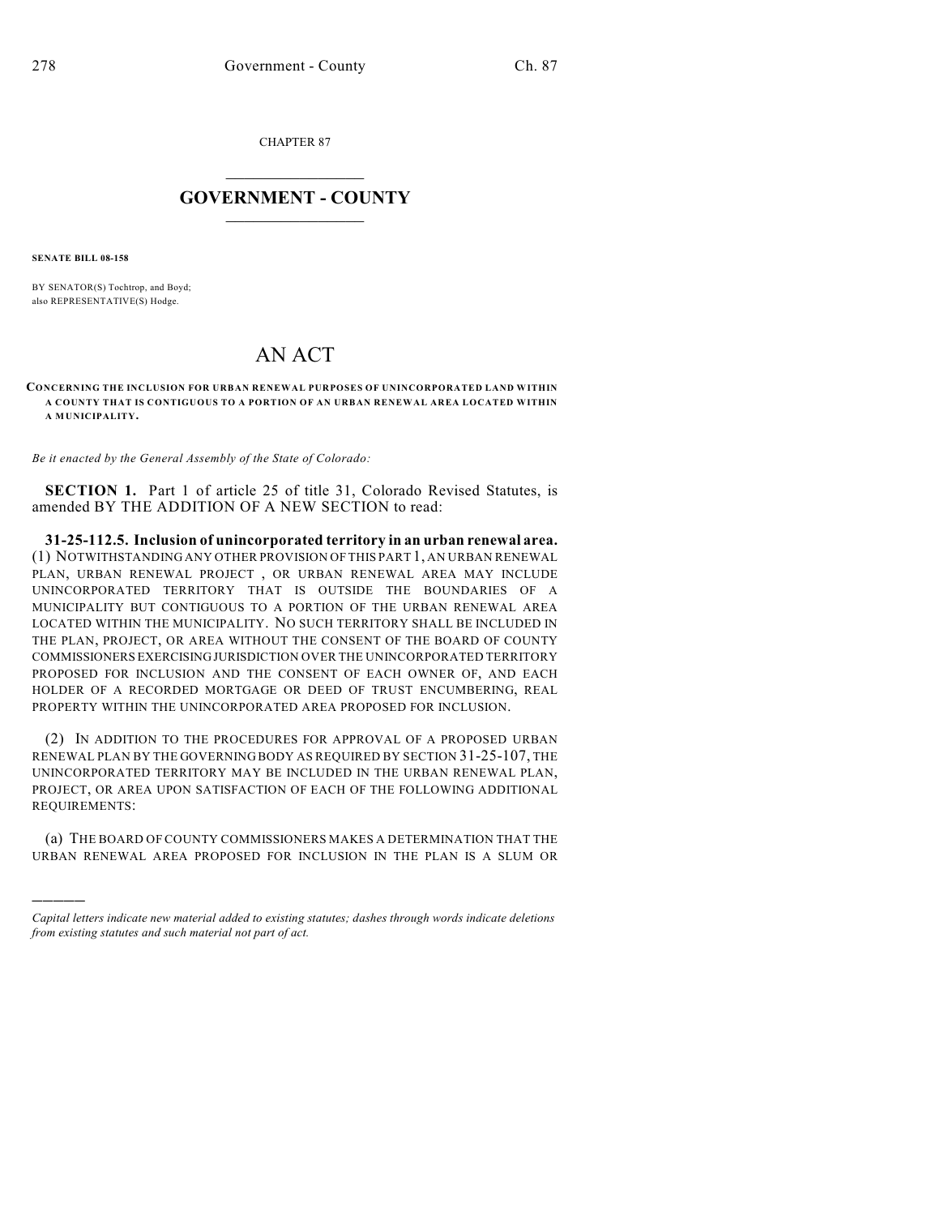CHAPTER 87

## $\mathcal{L}_\text{max}$  . The set of the set of the set of the set of the set of the set of the set of the set of the set of the set of the set of the set of the set of the set of the set of the set of the set of the set of the set **GOVERNMENT - COUNTY**  $\_$

**SENATE BILL 08-158**

)))))

BY SENATOR(S) Tochtrop, and Boyd; also REPRESENTATIVE(S) Hodge.

## AN ACT

**CONCERNING THE INCLUSION FOR URBAN RENEWAL PURPOSES OF UNINCORPORATED LAND WITHIN A COUNTY THAT IS CONTIGUOUS TO A PORTION OF AN URBAN RENEWAL AREA LOCATED WITHIN A MUNICIPALITY.**

*Be it enacted by the General Assembly of the State of Colorado:*

**SECTION 1.** Part 1 of article 25 of title 31, Colorado Revised Statutes, is amended BY THE ADDITION OF A NEW SECTION to read:

**31-25-112.5. Inclusion of unincorporated territory in an urban renewal area.** (1) NOTWITHSTANDING ANY OTHER PROVISION OF THIS PART 1, AN URBAN RENEWAL PLAN, URBAN RENEWAL PROJECT , OR URBAN RENEWAL AREA MAY INCLUDE UNINCORPORATED TERRITORY THAT IS OUTSIDE THE BOUNDARIES OF A MUNICIPALITY BUT CONTIGUOUS TO A PORTION OF THE URBAN RENEWAL AREA LOCATED WITHIN THE MUNICIPALITY. NO SUCH TERRITORY SHALL BE INCLUDED IN THE PLAN, PROJECT, OR AREA WITHOUT THE CONSENT OF THE BOARD OF COUNTY COMMISSIONERS EXERCISING JURISDICTION OVER THE UNINCORPORATED TERRITORY PROPOSED FOR INCLUSION AND THE CONSENT OF EACH OWNER OF, AND EACH HOLDER OF A RECORDED MORTGAGE OR DEED OF TRUST ENCUMBERING, REAL PROPERTY WITHIN THE UNINCORPORATED AREA PROPOSED FOR INCLUSION.

(2) IN ADDITION TO THE PROCEDURES FOR APPROVAL OF A PROPOSED URBAN RENEWAL PLAN BY THE GOVERNING BODY AS REQUIRED BY SECTION 31-25-107, THE UNINCORPORATED TERRITORY MAY BE INCLUDED IN THE URBAN RENEWAL PLAN, PROJECT, OR AREA UPON SATISFACTION OF EACH OF THE FOLLOWING ADDITIONAL REQUIREMENTS:

(a) THE BOARD OF COUNTY COMMISSIONERS MAKES A DETERMINATION THAT THE URBAN RENEWAL AREA PROPOSED FOR INCLUSION IN THE PLAN IS A SLUM OR

*Capital letters indicate new material added to existing statutes; dashes through words indicate deletions from existing statutes and such material not part of act.*